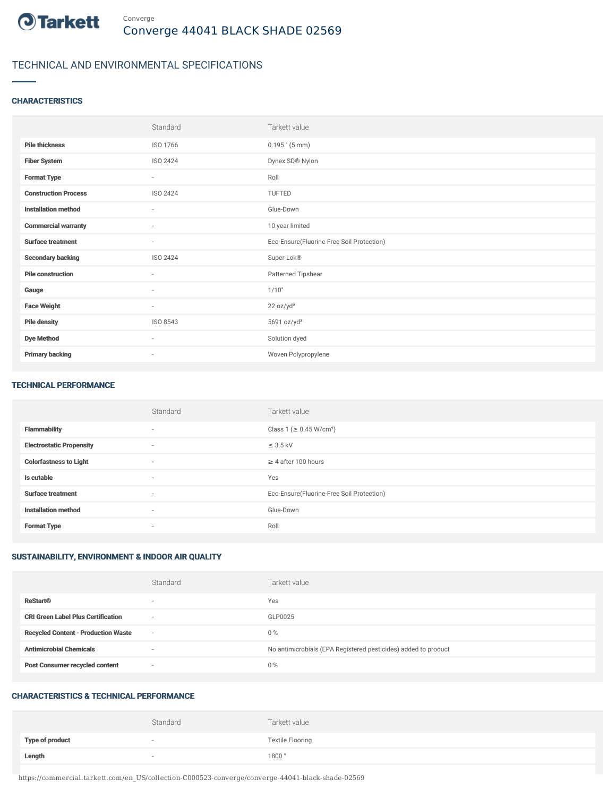

## TECHNICAL AND ENVIRONMENTAL SPECIFICATIONS

### **CHARACTERISTICS**

|                             | Standard                 | Tarkett value                             |
|-----------------------------|--------------------------|-------------------------------------------|
| <b>Pile thickness</b>       | ISO 1766                 | $0.195$ " (5 mm)                          |
| <b>Fiber System</b>         | ISO 2424                 | Dynex SD® Nylon                           |
| <b>Format Type</b>          | $\overline{\phantom{a}}$ | Roll                                      |
| <b>Construction Process</b> | ISO 2424                 | <b>TUFTED</b>                             |
| <b>Installation method</b>  | ٠                        | Glue-Down                                 |
| <b>Commercial warranty</b>  | $\sim$                   | 10 year limited                           |
| <b>Surface treatment</b>    | ٠                        | Eco-Ensure(Fluorine-Free Soil Protection) |
| <b>Secondary backing</b>    | ISO 2424                 | Super-Lok®                                |
| <b>Pile construction</b>    | ٠                        | Patterned Tipshear                        |
| Gauge                       | $\overline{\phantom{a}}$ | 1/10"                                     |
| <b>Face Weight</b>          | $\sim$                   | 22 oz/yd <sup>2</sup>                     |
| <b>Pile density</b>         | ISO 8543                 | 5691 oz/yd <sup>3</sup>                   |
| <b>Dye Method</b>           | $\sim$                   | Solution dyed                             |
| <b>Primary backing</b>      | $\overline{\phantom{a}}$ | Woven Polypropylene                       |

#### TECHNICAL PERFORMANCE

|                                 | Standard                 | Tarkett value                             |
|---------------------------------|--------------------------|-------------------------------------------|
| <b>Flammability</b>             | $\sim$                   | Class 1 ( $\geq$ 0.45 W/cm <sup>2</sup> ) |
| <b>Electrostatic Propensity</b> | $\overline{\phantom{a}}$ | $\leq$ 3.5 kV                             |
| <b>Colorfastness to Light</b>   | $\sim$                   | $\geq$ 4 after 100 hours                  |
| Is cutable                      | $\sim$                   | Yes                                       |
| <b>Surface treatment</b>        | $\sim$                   | Eco-Ensure(Fluorine-Free Soil Protection) |
| <b>Installation method</b>      | $\sim$                   | Glue-Down                                 |
| <b>Format Type</b>              | $\sim$                   | Roll                                      |

### SUSTAINABILITY, ENVIRONMENT & INDOOR AIR QUALITY

|                                            | Standard                 | Tarkett value                                                  |
|--------------------------------------------|--------------------------|----------------------------------------------------------------|
| <b>ReStart®</b>                            | $\overline{\phantom{a}}$ | Yes                                                            |
| <b>CRI Green Label Plus Certification</b>  | $\sim$                   | GLP0025                                                        |
| <b>Recycled Content - Production Waste</b> | $\sim$                   | $0\%$                                                          |
| <b>Antimicrobial Chemicals</b>             |                          | No antimicrobials (EPA Registered pesticides) added to product |
| <b>Post Consumer recycled content</b>      | $\sim$                   | $0\%$                                                          |

#### CHARACTERISTICS & TECHNICAL PERFORMANCE

|                        | Standard | Tarkett value           |
|------------------------|----------|-------------------------|
| <b>Type of product</b> |          | <b>Textile Flooring</b> |
| Length                 |          | 1800"                   |